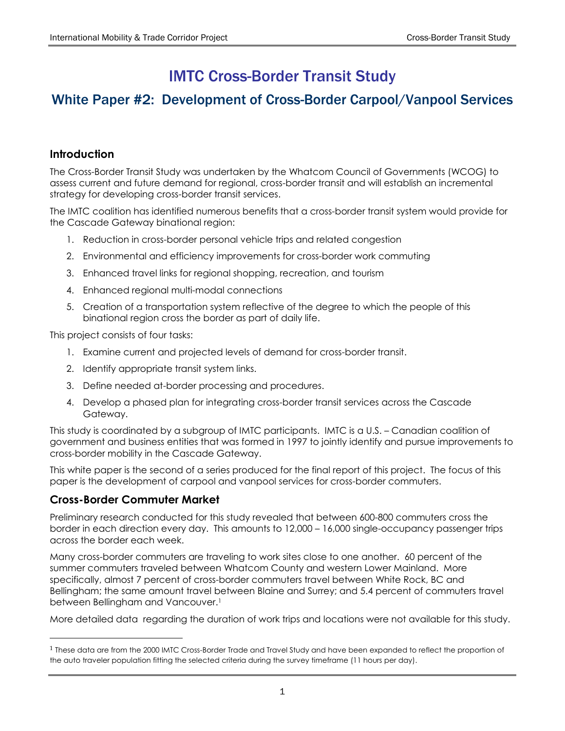# IMTC Cross-Border Transit Study

## White Paper #2: Development of Cross-Border Carpool/Vanpool Services

## **Introduction**

The Cross-Border Transit Study was undertaken by the Whatcom Council of Governments (WCOG) to assess current and future demand for regional, cross-border transit and will establish an incremental strategy for developing cross-border transit services.

The IMTC coalition has identified numerous benefits that a cross-border transit system would provide for the Cascade Gateway binational region:

- 1. Reduction in cross-border personal vehicle trips and related congestion
- 2. Environmental and efficiency improvements for cross-border work commuting
- 3. Enhanced travel links for regional shopping, recreation, and tourism
- 4. Enhanced regional multi-modal connections
- 5. Creation of a transportation system reflective of the degree to which the people of this binational region cross the border as part of daily life.

This project consists of four tasks:

- 1. Examine current and projected levels of demand for cross-border transit.
- 2. Identify appropriate transit system links.
- 3. Define needed at-border processing and procedures.
- 4. Develop a phased plan for integrating cross-border transit services across the Cascade Gateway.

This study is coordinated by a subgroup of IMTC participants. IMTC is a U.S. – Canadian coalition of government and business entities that was formed in 1997 to jointly identify and pursue improvements to cross-border mobility in the Cascade Gateway.

This white paper is the second of a series produced for the final report of this project. The focus of this paper is the development of carpool and vanpool services for cross-border commuters.

#### **Cross-Border Commuter Market**

 $\overline{a}$ 

Preliminary research conducted for this study revealed that between 600-800 commuters cross the border in each direction every day. This amounts to 12,000 – 16,000 single-occupancy passenger trips across the border each week.

Many cross-border commuters are traveling to work sites close to one another. 60 percent of the summer commuters traveled between Whatcom County and western Lower Mainland. More specifically, almost 7 percent of cross-border commuters travel between White Rock, BC and Bellingham; the same amount travel between Blaine and Surrey; and 5.4 percent of commuters travel between Bellingham and Vancouver.<sup>1</sup>

More detailed data regarding the duration of work trips and locations were not available for this study.

<span id="page-0-0"></span><sup>1</sup> These data are from the 2000 IMTC Cross-Border Trade and Travel Study and have been expanded to reflect the proportion of the auto traveler population fitting the selected criteria during the survey timeframe (11 hours per day).